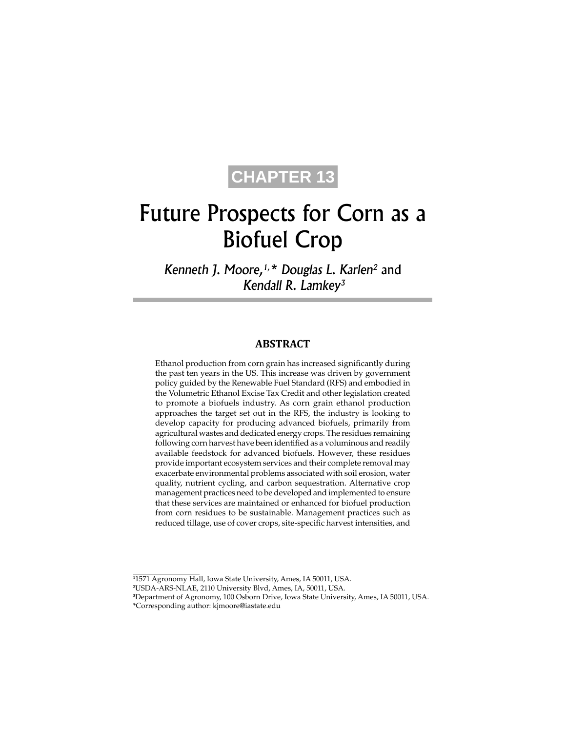# **CHAPTER 13**

# Future Prospects for Corn as a Biofuel Crop

*Kenneth J. Moore,1,\* Douglas L. Karlen2* and *Kendall R. Lamkey3*

#### **ABSTRACT**

Ethanol production from corn grain has increased significantly during the past ten years in the US. This increase was driven by government policy guided by the Renewable Fuel Standard (RFS) and embodied in the Volumetric Ethanol Excise Tax Credit and other legislation created to promote a biofuels industry. As corn grain ethanol production approaches the target set out in the RFS, the industry is looking to develop capacity for producing advanced biofuels, primarily from agricultural wastes and dedicated energy crops. The residues remaining following corn harvest have been identified as a voluminous and readily available feedstock for advanced biofuels. However, these residues provide important ecosystem services and their complete removal may exacerbate environmental problems associated with soil erosion, water quality, nutrient cycling, and carbon sequestration. Alternative crop management practices need to be developed and implemented to ensure that these services are maintained or enhanced for biofuel production from corn residues to be sustainable. Management practices such as reduced tillage, use of cover crops, site-specific harvest intensities, and

**1** 1571 Agronomy Hall, Iowa State University, Ames, IA 50011, USA.

**2** USDA-ARS-NLAE, 2110 University Blvd, Ames, IA, 50011, USA.

**<sup>3</sup>** Department of Agronomy, 100 Osborn Drive, Iowa State University, Ames, IA 50011, USA. \*Corresponding author: kjmoore@iastate.edu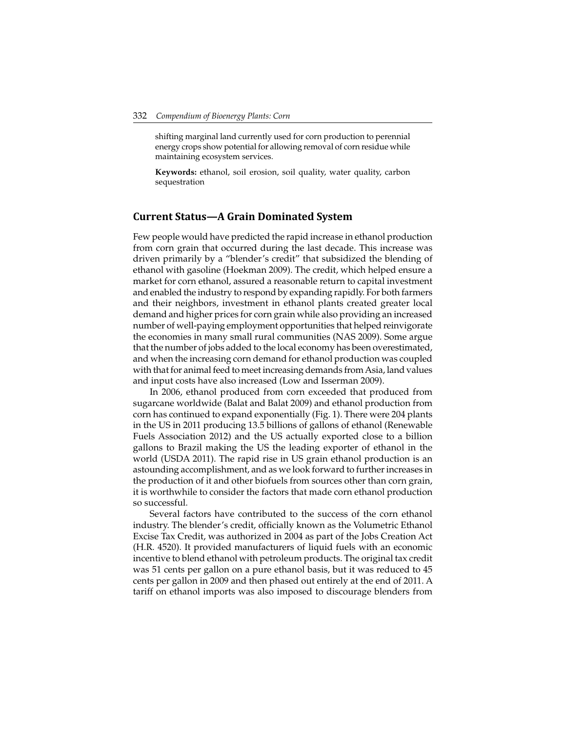shifting marginal land currently used for corn production to perennial energy crops show potential for allowing removal of corn residue while maintaining ecosystem services.

**Keywords:** ethanol, soil erosion, soil quality, water quality, carbon sequestration

#### **Current Status—A Grain Dominated System**

Few people would have predicted the rapid increase in ethanol production from corn grain that occurred during the last decade. This increase was driven primarily by a "blender's credit" that subsidized the blending of ethanol with gasoline (Hoekman 2009). The credit, which helped ensure a market for corn ethanol, assured a reasonable return to capital investment and enabled the industry to respond by expanding rapidly. For both farmers and their neighbors, investment in ethanol plants created greater local demand and higher prices for corn grain while also providing an increased number of well-paying employment opportunities that helped reinvigorate the economies in many small rural communities (NAS 2009). Some argue that the number of jobs added to the local economy has been overestimated, and when the increasing corn demand for ethanol production was coupled with that for animal feed to meet increasing demands from Asia, land values and input costs have also increased (Low and Isserman 2009).

In 2006, ethanol produced from corn exceeded that produced from sugarcane worldwide (Balat and Balat 2009) and ethanol production from corn has continued to expand exponentially (Fig. 1). There were 204 plants in the US in 2011 producing 13.5 billions of gallons of ethanol (Renewable Fuels Association 2012) and the US actually exported close to a billion gallons to Brazil making the US the leading exporter of ethanol in the world (USDA 2011). The rapid rise in US grain ethanol production is an astounding accomplishment, and as we look forward to further increases in the production of it and other biofuels from sources other than corn grain, it is worthwhile to consider the factors that made corn ethanol production so successful.

Several factors have contributed to the success of the corn ethanol industry. The blender's credit, officially known as the Volumetric Ethanol Excise Tax Credit, was authorized in 2004 as part of the Jobs Creation Act (H.R. 4520). It provided manufacturers of liquid fuels with an economic incentive to blend ethanol with petroleum products. The original tax credit was 51 cents per gallon on a pure ethanol basis, but it was reduced to 45 cents per gallon in 2009 and then phased out entirely at the end of 2011. A tariff on ethanol imports was also imposed to discourage blenders from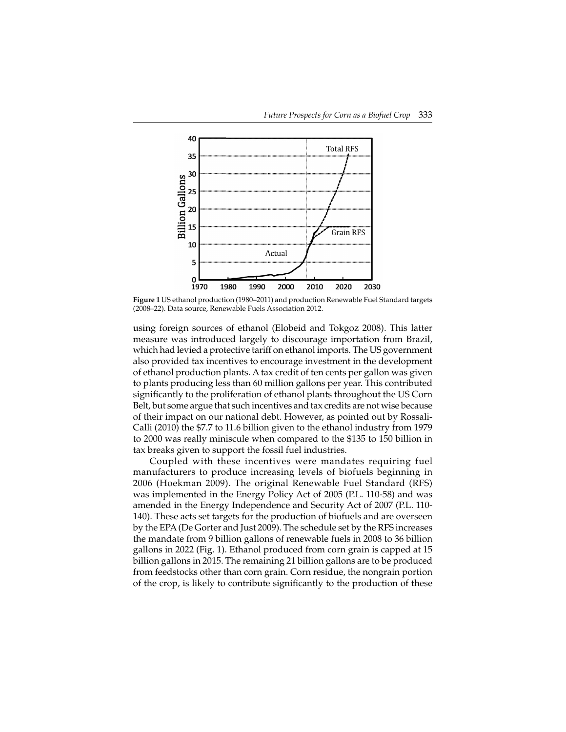

**Figure 1** US ethanol production (1980–2011) and production Renewable Fuel Standard targets (2008–22). Data source, Renewable Fuels Association 2012.

using foreign sources of ethanol (Elobeid and Tokgoz 2008). This latter measure was introduced largely to discourage importation from Brazil, which had levied a protective tariff on ethanol imports. The US government also provided tax incentives to encourage investment in the development of ethanol production plants. A tax credit of ten cents per gallon was given to plants producing less than 60 million gallons per year. This contributed significantly to the proliferation of ethanol plants throughout the US Corn Belt, but some argue that such incentives and tax credits are not wise because of their impact on our national debt. However, as pointed out by Rossali-Calli (2010) the \$7.7 to 11.6 billion given to the ethanol industry from 1979 to 2000 was really miniscule when compared to the \$135 to 150 billion in tax breaks given to support the fossil fuel industries.

Coupled with these incentives were mandates requiring fuel manufacturers to produce increasing levels of biofuels beginning in 2006 (Hoekman 2009). The original Renewable Fuel Standard (RFS) was implemented in the Energy Policy Act of 2005 (P.L. 110-58) and was amended in the Energy Independence and Security Act of 2007 (P.L. 110- 140). These acts set targets for the production of biofuels and are overseen by the EPA (De Gorter and Just 2009). The schedule set by the RFS increases the mandate from 9 billion gallons of renewable fuels in 2008 to 36 billion gallons in 2022 (Fig. 1). Ethanol produced from corn grain is capped at 15 billion gallons in 2015. The remaining 21 billion gallons are to be produced from feedstocks other than corn grain. Corn residue, the nongrain portion of the crop, is likely to contribute significantly to the production of these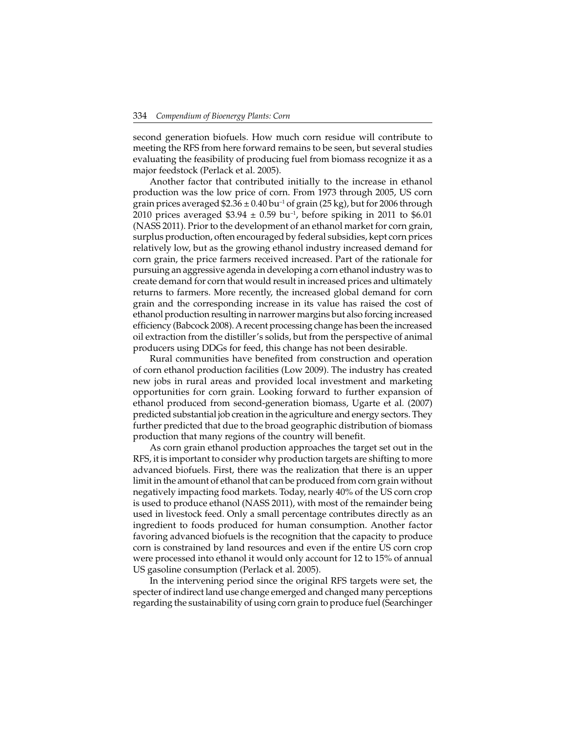second generation biofuels. How much corn residue will contribute to meeting the RFS from here forward remains to be seen, but several studies evaluating the feasibility of producing fuel from biomass recognize it as a major feedstock (Perlack et al. 2005).

Another factor that contributed initially to the increase in ethanol production was the low price of corn. From 1973 through 2005, US corn grain prices averaged  $$2.36 \pm 0.40$  bu<sup>-1</sup> of grain (25 kg), but for 2006 through 2010 prices averaged  $$3.94 \pm 0.59$  bu<sup>-1</sup>, before spiking in 2011 to \$6.01 (NASS 2011). Prior to the development of an ethanol market for corn grain, surplus production, often encouraged by federal subsidies, kept corn prices relatively low, but as the growing ethanol industry increased demand for corn grain, the price farmers received increased. Part of the rationale for pursuing an aggressive agenda in developing a corn ethanol industry was to create demand for corn that would result in increased prices and ultimately returns to farmers. More recently, the increased global demand for corn grain and the corresponding increase in its value has raised the cost of ethanol production resulting in narrower margins but also forcing increased efficiency (Babcock 2008). A recent processing change has been the increased oil extraction from the distiller's solids, but from the perspective of animal producers using DDGs for feed, this change has not been desirable.

Rural communities have benefited from construction and operation of corn ethanol production facilities (Low 2009). The industry has created new jobs in rural areas and provided local investment and marketing opportunities for corn grain. Looking forward to further expansion of ethanol produced from second-generation biomass, Ugarte et al*.* (2007) predicted substantial job creation in the agriculture and energy sectors. They further predicted that due to the broad geographic distribution of biomass production that many regions of the country will benefit.

As corn grain ethanol production approaches the target set out in the RFS, it is important to consider why production targets are shifting to more advanced biofuels. First, there was the realization that there is an upper limit in the amount of ethanol that can be produced from corn grain without negatively impacting food markets. Today, nearly 40% of the US corn crop is used to produce ethanol (NASS 2011), with most of the remainder being used in livestock feed. Only a small percentage contributes directly as an ingredient to foods produced for human consumption. Another factor favoring advanced biofuels is the recognition that the capacity to produce corn is constrained by land resources and even if the entire US corn crop were processed into ethanol it would only account for 12 to 15% of annual US gasoline consumption (Perlack et al. 2005).

In the intervening period since the original RFS targets were set, the specter of indirect land use change emerged and changed many perceptions regarding the sustainability of using corn grain to produce fuel (Searchinger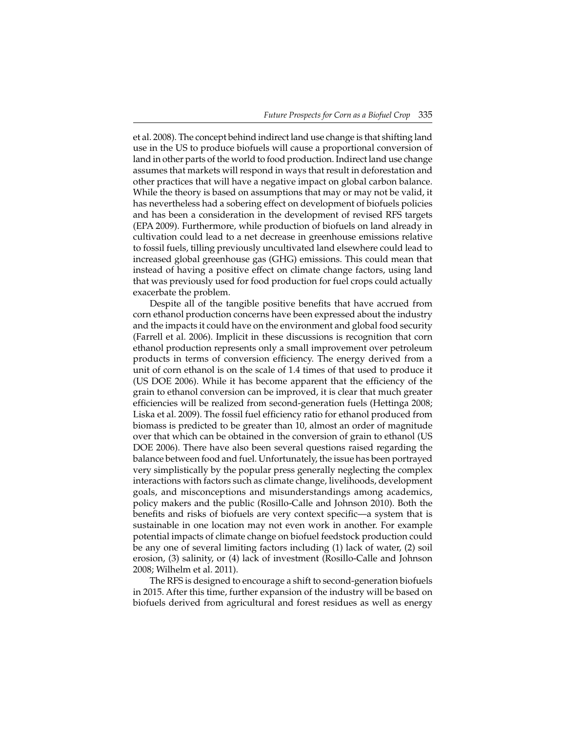et al. 2008). The concept behind indirect land use change is that shifting land use in the US to produce biofuels will cause a proportional conversion of land in other parts of the world to food production. Indirect land use change assumes that markets will respond in ways that result in deforestation and other practices that will have a negative impact on global carbon balance. While the theory is based on assumptions that may or may not be valid, it has nevertheless had a sobering effect on development of biofuels policies and has been a consideration in the development of revised RFS targets (EPA 2009). Furthermore, while production of biofuels on land already in cultivation could lead to a net decrease in greenhouse emissions relative to fossil fuels, tilling previously uncultivated land elsewhere could lead to increased global greenhouse gas (GHG) emissions. This could mean that instead of having a positive effect on climate change factors, using land that was previously used for food production for fuel crops could actually exacerbate the problem.

Despite all of the tangible positive benefits that have accrued from corn ethanol production concerns have been expressed about the industry and the impacts it could have on the environment and global food security (Farrell et al. 2006). Implicit in these discussions is recognition that corn ethanol production represents only a small improvement over petroleum products in terms of conversion efficiency. The energy derived from a unit of corn ethanol is on the scale of 1.4 times of that used to produce it (US DOE 2006). While it has become apparent that the efficiency of the grain to ethanol conversion can be improved, it is clear that much greater efficiencies will be realized from second-generation fuels (Hettinga 2008; Liska et al. 2009). The fossil fuel efficiency ratio for ethanol produced from biomass is predicted to be greater than 10, almost an order of magnitude over that which can be obtained in the conversion of grain to ethanol (US DOE 2006). There have also been several questions raised regarding the balance between food and fuel. Unfortunately, the issue has been portrayed very simplistically by the popular press generally neglecting the complex interactions with factors such as climate change, livelihoods, development goals, and misconceptions and misunderstandings among academics, policy makers and the public (Rosillo-Calle and Johnson 2010). Both the benefits and risks of biofuels are very context specific—a system that is sustainable in one location may not even work in another. For example potential impacts of climate change on biofuel feedstock production could be any one of several limiting factors including (1) lack of water, (2) soil erosion, (3) salinity, or (4) lack of investment (Rosillo-Calle and Johnson 2008; Wilhelm et al. 2011).

The RFS is designed to encourage a shift to second-generation biofuels in 2015. After this time, further expansion of the industry will be based on biofuels derived from agricultural and forest residues as well as energy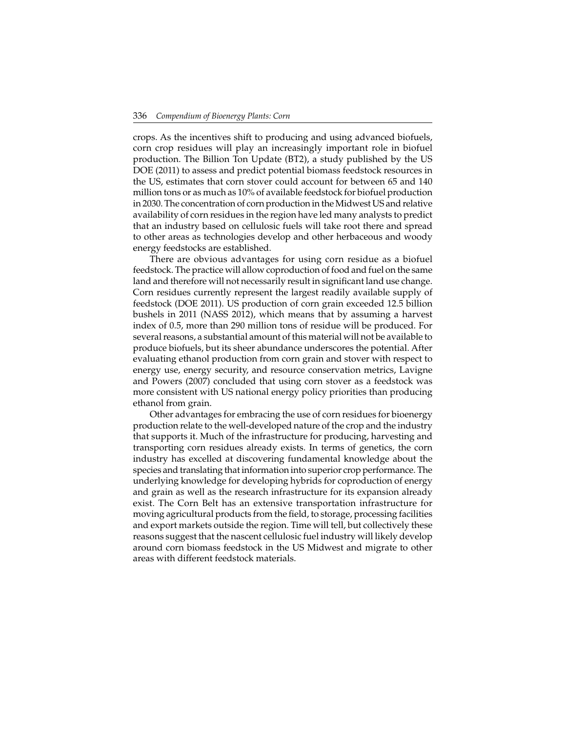crops. As the incentives shift to producing and using advanced biofuels, corn crop residues will play an increasingly important role in biofuel production. The Billion Ton Update (BT2), a study published by the US DOE (2011) to assess and predict potential biomass feedstock resources in the US, estimates that corn stover could account for between 65 and 140 million tons or as much as 10% of available feedstock for biofuel production in 2030. The concentration of corn production in the Midwest US and relative availability of corn residues in the region have led many analysts to predict that an industry based on cellulosic fuels will take root there and spread to other areas as technologies develop and other herbaceous and woody energy feedstocks are established.

There are obvious advantages for using corn residue as a biofuel feedstock. The practice will allow coproduction of food and fuel on the same land and therefore will not necessarily result in significant land use change. Corn residues currently represent the largest readily available supply of feedstock (DOE 2011). US production of corn grain exceeded 12.5 billion bushels in 2011 (NASS 2012), which means that by assuming a harvest index of 0.5, more than 290 million tons of residue will be produced. For several reasons, a substantial amount of this material will not be available to produce biofuels, but its sheer abundance underscores the potential. After evaluating ethanol production from corn grain and stover with respect to energy use, energy security, and resource conservation metrics, Lavigne and Powers (2007) concluded that using corn stover as a feedstock was more consistent with US national energy policy priorities than producing ethanol from grain.

Other advantages for embracing the use of corn residues for bioenergy production relate to the well-developed nature of the crop and the industry that supports it. Much of the infrastructure for producing, harvesting and transporting corn residues already exists. In terms of genetics, the corn industry has excelled at discovering fundamental knowledge about the species and translating that information into superior crop performance. The underlying knowledge for developing hybrids for coproduction of energy and grain as well as the research infrastructure for its expansion already exist. The Corn Belt has an extensive transportation infrastructure for moving agricultural products from the field, to storage, processing facilities and export markets outside the region. Time will tell, but collectively these reasons suggest that the nascent cellulosic fuel industry will likely develop around corn biomass feedstock in the US Midwest and migrate to other areas with different feedstock materials.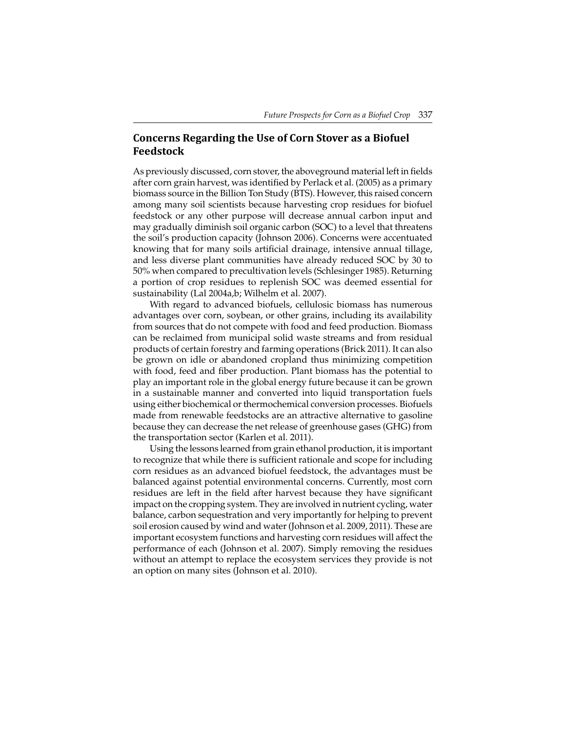## **Concerns Regarding the Use of Corn Stover as a Biofuel Feedstock**

As previously discussed, corn stover, the aboveground material left in fields after corn grain harvest, was identified by Perlack et al. (2005) as a primary biomass source in the Billion Ton Study (BTS). However, this raised concern among many soil scientists because harvesting crop residues for biofuel feedstock or any other purpose will decrease annual carbon input and may gradually diminish soil organic carbon (SOC) to a level that threatens the soil's production capacity (Johnson 2006). Concerns were accentuated knowing that for many soils artificial drainage, intensive annual tillage, and less diverse plant communities have already reduced SOC by 30 to 50% when compared to precultivation levels (Schlesinger 1985). Returning a portion of crop residues to replenish SOC was deemed essential for sustainability (Lal 2004a,b; Wilhelm et al. 2007).

With regard to advanced biofuels, cellulosic biomass has numerous advantages over corn, soybean, or other grains, including its availability from sources that do not compete with food and feed production. Biomass can be reclaimed from municipal solid waste streams and from residual products of certain forestry and farming operations (Brick 2011). It can also be grown on idle or abandoned cropland thus minimizing competition with food, feed and fiber production. Plant biomass has the potential to play an important role in the global energy future because it can be grown in a sustainable manner and converted into liquid transportation fuels using either biochemical or thermochemical conversion processes. Biofuels made from renewable feedstocks are an attractive alternative to gasoline because they can decrease the net release of greenhouse gases (GHG) from the transportation sector (Karlen et al. 2011).

Using the lessons learned from grain ethanol production, it is important to recognize that while there is sufficient rationale and scope for including corn residues as an advanced biofuel feedstock, the advantages must be balanced against potential environmental concerns. Currently, most corn residues are left in the field after harvest because they have significant impact on the cropping system. They are involved in nutrient cycling, water balance, carbon sequestration and very importantly for helping to prevent soil erosion caused by wind and water (Johnson et al. 2009, 2011). These are important ecosystem functions and harvesting corn residues will affect the performance of each (Johnson et al. 2007). Simply removing the residues without an attempt to replace the ecosystem services they provide is not an option on many sites (Johnson et al. 2010).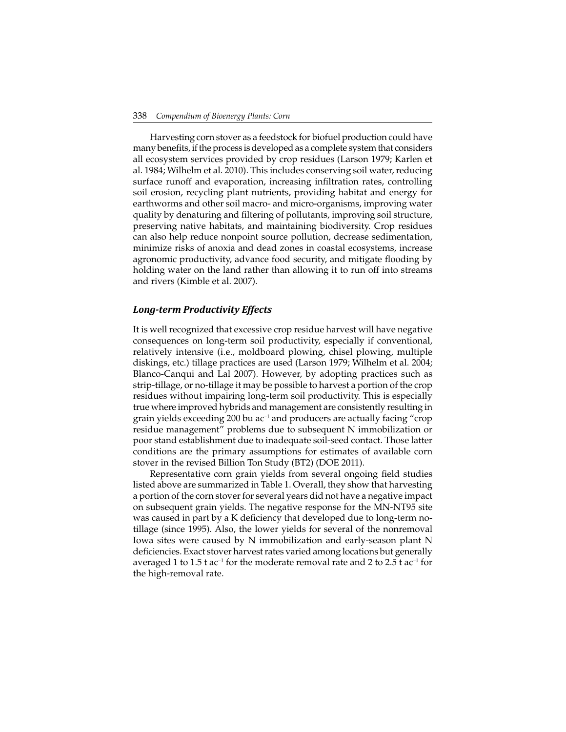Harvesting corn stover as a feedstock for biofuel production could have many benefits, if the process is developed as a complete system that considers all ecosystem services provided by crop residues (Larson 1979; Karlen et al. 1984; Wilhelm et al. 2010). This includes conserving soil water, reducing surface runoff and evaporation, increasing infiltration rates, controlling soil erosion, recycling plant nutrients, providing habitat and energy for earthworms and other soil macro- and micro-organisms, improving water quality by denaturing and filtering of pollutants, improving soil structure, preserving native habitats, and maintaining biodiversity. Crop residues can also help reduce nonpoint source pollution, decrease sedimentation, minimize risks of anoxia and dead zones in coastal ecosystems, increase agronomic productivity, advance food security, and mitigate flooding by holding water on the land rather than allowing it to run off into streams and rivers (Kimble et al. 2007).

#### *Long-term Productivity Effects*

It is well recognized that excessive crop residue harvest will have negative consequences on long-term soil productivity, especially if conventional, relatively intensive (i.e., moldboard plowing, chisel plowing, multiple diskings, etc.) tillage practices are used (Larson 1979; Wilhelm et al. 2004; Blanco-Canqui and Lal 2007). However, by adopting practices such as strip-tillage, or no-tillage it may be possible to harvest a portion of the crop residues without impairing long-term soil productivity. This is especially true where improved hybrids and management are consistently resulting in grain yields exceeding 200 bu  $ac^{-1}$  and producers are actually facing "crop residue management" problems due to subsequent N immobilization or poor stand establishment due to inadequate soil-seed contact. Those latter conditions are the primary assumptions for estimates of available corn stover in the revised Billion Ton Study (BT2) (DOE 2011).

Representative corn grain yields from several ongoing field studies listed above are summarized in Table 1. Overall, they show that harvesting a portion of the corn stover for several years did not have a negative impact on subsequent grain yields. The negative response for the MN-NT95 site was caused in part by a K deficiency that developed due to long-term notillage (since 1995). Also, the lower yields for several of the nonremoval Iowa sites were caused by N immobilization and early-season plant N deficiencies. Exact stover harvest rates varied among locations but generally averaged 1 to  $1.5$  t ac<sup>-1</sup> for the moderate removal rate and 2 to  $2.5$  t ac<sup>-1</sup> for the high-removal rate.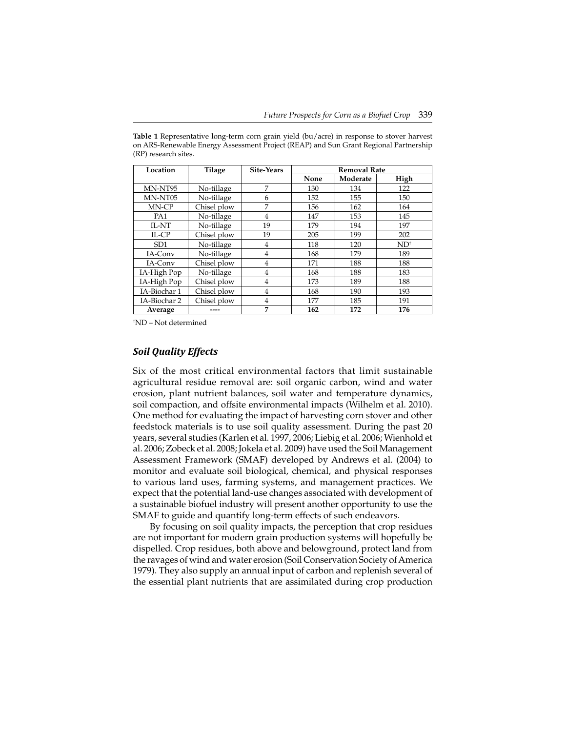| Location        | Tilage      | Site-Years | <b>Removal Rate</b> |          |                |  |
|-----------------|-------------|------------|---------------------|----------|----------------|--|
|                 |             |            | None                | Moderate | High           |  |
| MN-NT95         | No-tillage  | 7          | 130                 | 134      | 122            |  |
| MN-NT05         | No-tillage  | 6          | 152                 | 155      | 150            |  |
| MN-CP           | Chisel plow | 7          | 156                 | 162      | 164            |  |
| PA <sub>1</sub> | No-tillage  | 4          | 147                 | 153      | 145            |  |
| IL-NT           | No-tillage  | 19         | 179                 | 194      | 197            |  |
| IL-CP           | Chisel plow | 19         | 205                 | 199      | 202            |  |
| SD <sub>1</sub> | No-tillage  | 4          | 118                 | 120      | $ND^{\dagger}$ |  |
| IA-Conv         | No-tillage  | 4          | 168                 | 179      | 189            |  |
| IA-Conv         | Chisel plow | 4          | 171                 | 188      | 188            |  |
| IA-High Pop     | No-tillage  | 4          | 168                 | 188      | 183            |  |
| IA-High Pop     | Chisel plow | 4          | 173                 | 189      | 188            |  |
| IA-Biochar 1    | Chisel plow | 4          | 168                 | 190      | 193            |  |
| IA-Biochar 2    | Chisel plow | 4          | 177                 | 185      | 191            |  |
| Average         |             | 7          | 162                 | 172      | 176            |  |

**Table 1** Representative long-term corn grain yield (bu/acre) in response to stover harvest on ARS-Renewable Energy Assessment Project (REAP) and Sun Grant Regional Partnership (RP) research sites.

† ND – Not determined

#### *Soil Quality Effects*

Six of the most critical environmental factors that limit sustainable agricultural residue removal are: soil organic carbon, wind and water erosion, plant nutrient balances, soil water and temperature dynamics, soil compaction, and offsite environmental impacts (Wilhelm et al. 2010). One method for evaluating the impact of harvesting corn stover and other feedstock materials is to use soil quality assessment. During the past 20 years, several studies (Karlen et al. 1997, 2006; Liebig et al. 2006; Wienhold et al. 2006; Zobeck et al. 2008; Jokela et al. 2009) have used the Soil Management Assessment Framework (SMAF) developed by Andrews et al. (2004) to monitor and evaluate soil biological, chemical, and physical responses to various land uses, farming systems, and management practices. We expect that the potential land-use changes associated with development of a sustainable biofuel industry will present another opportunity to use the SMAF to guide and quantify long-term effects of such endeavors.

By focusing on soil quality impacts, the perception that crop residues are not important for modern grain production systems will hopefully be dispelled. Crop residues, both above and belowground, protect land from the ravages of wind and water erosion (Soil Conservation Society of America 1979). They also supply an annual input of carbon and replenish several of the essential plant nutrients that are assimilated during crop production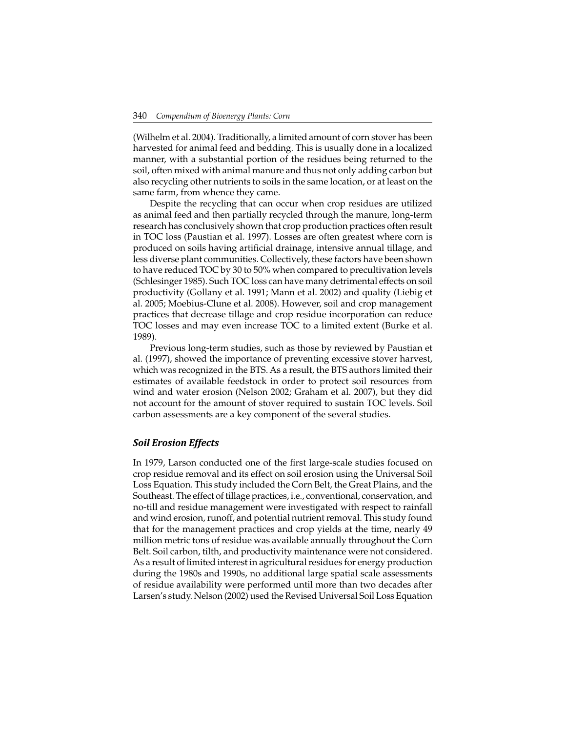(Wilhelm et al. 2004). Traditionally, a limited amount of corn stover has been harvested for animal feed and bedding. This is usually done in a localized manner, with a substantial portion of the residues being returned to the soil, often mixed with animal manure and thus not only adding carbon but also recycling other nutrients to soils in the same location, or at least on the same farm, from whence they came.

Despite the recycling that can occur when crop residues are utilized as animal feed and then partially recycled through the manure, long-term research has conclusively shown that crop production practices often result in TOC loss (Paustian et al. 1997). Losses are often greatest where corn is produced on soils having artificial drainage, intensive annual tillage, and less diverse plant communities. Collectively, these factors have been shown to have reduced TOC by 30 to 50% when compared to precultivation levels (Schlesinger 1985). Such TOC loss can have many detrimental effects on soil productivity (Gollany et al. 1991; Mann et al. 2002) and quality (Liebig et al. 2005; Moebius-Clune et al. 2008). However, soil and crop management practices that decrease tillage and crop residue incorporation can reduce TOC losses and may even increase TOC to a limited extent (Burke et al. 1989).

Previous long-term studies, such as those by reviewed by Paustian et al. (1997), showed the importance of preventing excessive stover harvest, which was recognized in the BTS. As a result, the BTS authors limited their estimates of available feedstock in order to protect soil resources from wind and water erosion (Nelson 2002; Graham et al. 2007), but they did not account for the amount of stover required to sustain TOC levels. Soil carbon assessments are a key component of the several studies.

#### *Soil Erosion Effects*

In 1979, Larson conducted one of the first large-scale studies focused on crop residue removal and its effect on soil erosion using the Universal Soil Loss Equation. This study included the Corn Belt, the Great Plains, and the Southeast. The effect of tillage practices, i.e., conventional, conservation, and no-till and residue management were investigated with respect to rainfall and wind erosion, runoff, and potential nutrient removal. This study found that for the management practices and crop yields at the time, nearly 49 million metric tons of residue was available annually throughout the Corn Belt. Soil carbon, tilth, and productivity maintenance were not considered. As a result of limited interest in agricultural residues for energy production during the 1980s and 1990s, no additional large spatial scale assessments of residue availability were performed until more than two decades after Larsen's study. Nelson (2002) used the Revised Universal Soil Loss Equation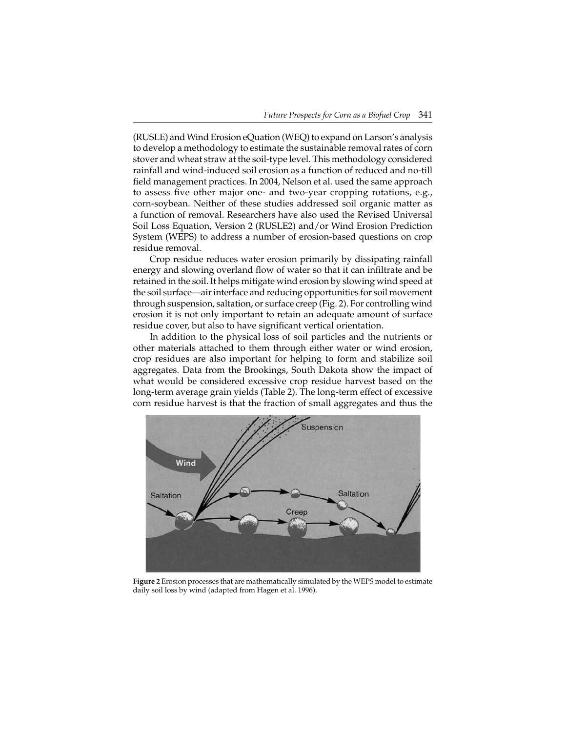(RUSLE) and Wind Erosion eQuation (WEQ) to expand on Larson's analysis to develop a methodology to estimate the sustainable removal rates of corn stover and wheat straw at the soil-type level. This methodology considered rainfall and wind-induced soil erosion as a function of reduced and no-till field management practices. In 2004, Nelson et al. used the same approach to assess five other major one- and two-year cropping rotations, e.g., corn-soybean. Neither of these studies addressed soil organic matter as a function of removal. Researchers have also used the Revised Universal Soil Loss Equation, Version 2 (RUSLE2) and/or Wind Erosion Prediction System (WEPS) to address a number of erosion-based questions on crop residue removal.

Crop residue reduces water erosion primarily by dissipating rainfall energy and slowing overland flow of water so that it can infiltrate and be retained in the soil. It helps mitigate wind erosion by slowing wind speed at the soil surface—air interface and reducing opportunities for soil movement through suspension, saltation, or surface creep (Fig. 2). For controlling wind erosion it is not only important to retain an adequate amount of surface residue cover, but also to have significant vertical orientation.

In addition to the physical loss of soil particles and the nutrients or other materials attached to them through either water or wind erosion, crop residues are also important for helping to form and stabilize soil aggregates. Data from the Brookings, South Dakota show the impact of what would be considered excessive crop residue harvest based on the long-term average grain yields (Table 2). The long-term effect of excessive corn residue harvest is that the fraction of small aggregates and thus the



**Figure 2** Erosion processes that are mathematically simulated by the WEPS model to estimate daily soil loss by wind (adapted from Hagen et al. 1996).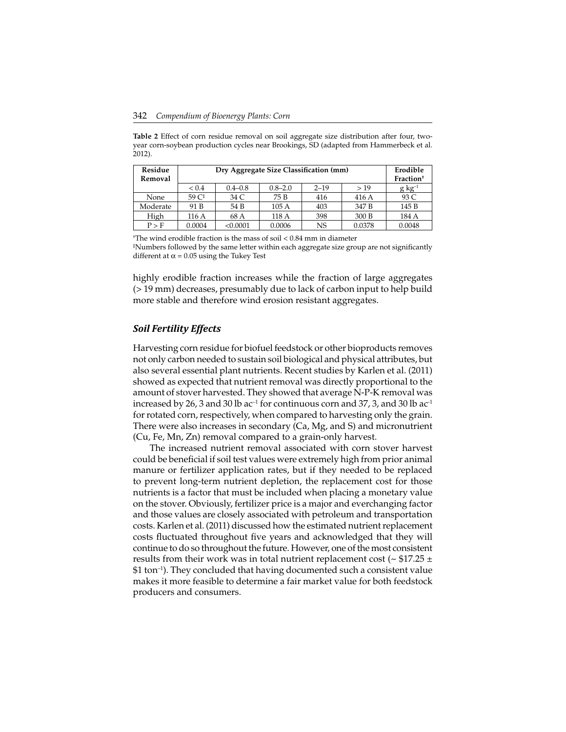**Table 2** Effect of corn residue removal on soil aggregate size distribution after four, twoyear corn-soybean production cycles near Brookings, SD (adapted from Hammerbeck et al. 2012).

| Residue<br>Removal | Dry Aggregate Size Classification (mm) | Erodible<br>Fraction <sup>+</sup> |             |          |        |                     |
|--------------------|----------------------------------------|-----------------------------------|-------------|----------|--------|---------------------|
|                    | ${}_{0.4}$                             | $0.4 - 0.8$                       | $0.8 - 2.0$ | $2 - 19$ | >19    | $g \text{ kg}^{-1}$ |
| None               | 59 C <sup>‡</sup>                      | 34 C                              | 75 B        | 416      | 416 A  | 93 C                |
| Moderate           | 91 B                                   | 54 B                              | 105A        | 403      | 347 B  | 145 B               |
| High               | 116 A                                  | 68 A                              | 118A        | 398      | 300 B  | 184 A               |
| P > F              | 0.0004                                 | < 0.0001                          | 0.0006      | NS       | 0.0378 | 0.0048              |

† The wind erodible fraction is the mass of soil < 0.84 mm in diameter ‡ Numbers followed by the same letter within each aggregate size group are not signifi cantly different at  $\alpha$  = 0.05 using the Tukey Test

highly erodible fraction increases while the fraction of large aggregates (> 19 mm) decreases, presumably due to lack of carbon input to help build more stable and therefore wind erosion resistant aggregates.

#### *Soil Fertility Effects*

Harvesting corn residue for biofuel feedstock or other bioproducts removes not only carbon needed to sustain soil biological and physical attributes, but also several essential plant nutrients. Recent studies by Karlen et al. (2011) showed as expected that nutrient removal was directly proportional to the amount of stover harvested. They showed that average N-P-K removal was increased by 26, 3 and 30 lb  $ac^{-1}$  for continuous corn and 37, 3, and 30 lb  $ac^{-1}$ for rotated corn, respectively, when compared to harvesting only the grain. There were also increases in secondary (Ca, Mg, and S) and micronutrient (Cu, Fe, Mn, Zn) removal compared to a grain-only harvest.

The increased nutrient removal associated with corn stover harvest could be beneficial if soil test values were extremely high from prior animal manure or fertilizer application rates, but if they needed to be replaced to prevent long-term nutrient depletion, the replacement cost for those nutrients is a factor that must be included when placing a monetary value on the stover. Obviously, fertilizer price is a major and everchanging factor and those values are closely associated with petroleum and transportation costs. Karlen et al. (2011) discussed how the estimated nutrient replacement costs fluctuated throughout five years and acknowledged that they will continue to do so throughout the future. However, one of the most consistent results from their work was in total nutrient replacement cost ( $\sim$  \$17.25  $\pm$ \$1 ton–1). They concluded that having documented such a consistent value makes it more feasible to determine a fair market value for both feedstock producers and consumers.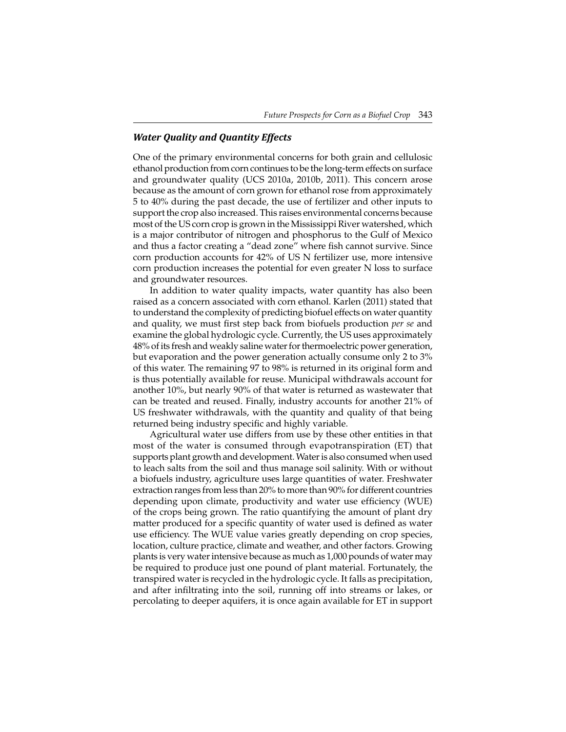### *Water Quality and Quantity Effects*

One of the primary environmental concerns for both grain and cellulosic ethanol production from corn continues to be the long-term effects on surface and groundwater quality (UCS 2010a, 2010b, 2011). This concern arose because as the amount of corn grown for ethanol rose from approximately 5 to 40% during the past decade, the use of fertilizer and other inputs to support the crop also increased. This raises environmental concerns because most of the US corn crop is grown in the Mississippi River watershed, which is a major contributor of nitrogen and phosphorus to the Gulf of Mexico and thus a factor creating a "dead zone" where fish cannot survive. Since corn production accounts for 42% of US N fertilizer use, more intensive corn production increases the potential for even greater N loss to surface and groundwater resources.

In addition to water quality impacts, water quantity has also been raised as a concern associated with corn ethanol. Karlen (2011) stated that to understand the complexity of predicting biofuel effects on water quantity and quality, we must first step back from biofuels production *per se* and examine the global hydrologic cycle. Currently, the US uses approximately 48% of its fresh and weakly saline water for thermoelectric power generation, but evaporation and the power generation actually consume only 2 to 3% of this water. The remaining 97 to 98% is returned in its original form and is thus potentially available for reuse. Municipal withdrawals account for another 10%, but nearly 90% of that water is returned as wastewater that can be treated and reused. Finally, industry accounts for another 21% of US freshwater withdrawals, with the quantity and quality of that being returned being industry specific and highly variable.

Agricultural water use differs from use by these other entities in that most of the water is consumed through evapotranspiration (ET) that supports plant growth and development. Water is also consumed when used to leach salts from the soil and thus manage soil salinity. With or without a biofuels industry, agriculture uses large quantities of water. Freshwater extraction ranges from less than 20% to more than 90% for different countries depending upon climate, productivity and water use efficiency (WUE) of the crops being grown. The ratio quantifying the amount of plant dry matter produced for a specific quantity of water used is defined as water use efficiency. The WUE value varies greatly depending on crop species, location, culture practice, climate and weather, and other factors. Growing plants is very water intensive because as much as 1,000 pounds of water may be required to produce just one pound of plant material. Fortunately, the transpired water is recycled in the hydrologic cycle. It falls as precipitation, and after infiltrating into the soil, running off into streams or lakes, or percolating to deeper aquifers, it is once again available for ET in support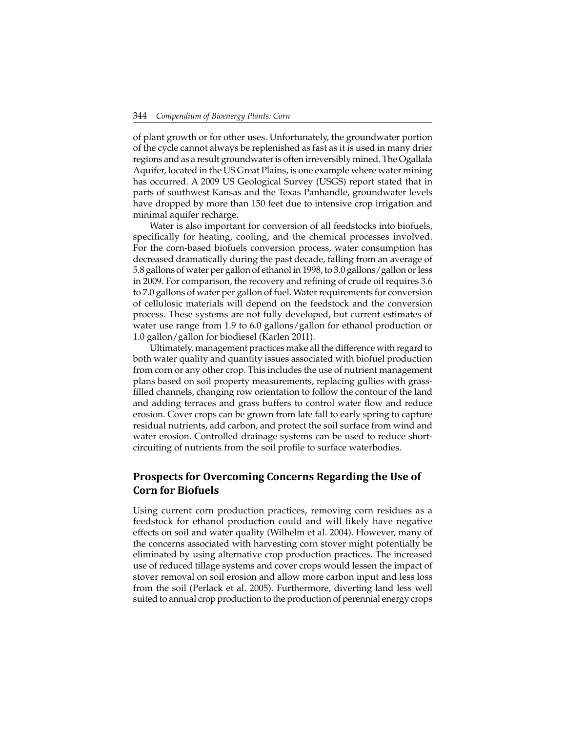of plant growth or for other uses. Unfortunately, the groundwater portion of the cycle cannot always be replenished as fast as it is used in many drier regions and as a result groundwater is often irreversibly mined. The Ogallala Aquifer, located in the US Great Plains, is one example where water mining has occurred. A 2009 US Geological Survey (USGS) report stated that in parts of southwest Kansas and the Texas Panhandle, groundwater levels have dropped by more than 150 feet due to intensive crop irrigation and minimal aquifer recharge.

Water is also important for conversion of all feedstocks into biofuels, specifically for heating, cooling, and the chemical processes involved. For the corn-based biofuels conversion process, water consumption has decreased dramatically during the past decade, falling from an average of 5.8 gallons of water per gallon of ethanol in 1998, to 3.0 gallons/gallon or less in 2009. For comparison, the recovery and refining of crude oil requires 3.6 to 7.0 gallons of water per gallon of fuel. Water requirements for conversion of cellulosic materials will depend on the feedstock and the conversion process. These systems are not fully developed, but current estimates of water use range from 1.9 to 6.0 gallons/gallon for ethanol production or 1.0 gallon/gallon for biodiesel (Karlen 2011).

Ultimately, management practices make all the difference with regard to both water quality and quantity issues associated with biofuel production from corn or any other crop. This includes the use of nutrient management plans based on soil property measurements, replacing gullies with grassfilled channels, changing row orientation to follow the contour of the land and adding terraces and grass buffers to control water flow and reduce erosion. Cover crops can be grown from late fall to early spring to capture residual nutrients, add carbon, and protect the soil surface from wind and water erosion. Controlled drainage systems can be used to reduce shortcircuiting of nutrients from the soil profile to surface waterbodies.

# **Prospects for Overcoming Concerns Regarding the Use of Corn for Biofuels**

Using current corn production practices, removing corn residues as a feedstock for ethanol production could and will likely have negative effects on soil and water quality (Wilhelm et al. 2004). However, many of the concerns associated with harvesting corn stover might potentially be eliminated by using alternative crop production practices. The increased use of reduced tillage systems and cover crops would lessen the impact of stover removal on soil erosion and allow more carbon input and less loss from the soil (Perlack et al. 2005). Furthermore, diverting land less well suited to annual crop production to the production of perennial energy crops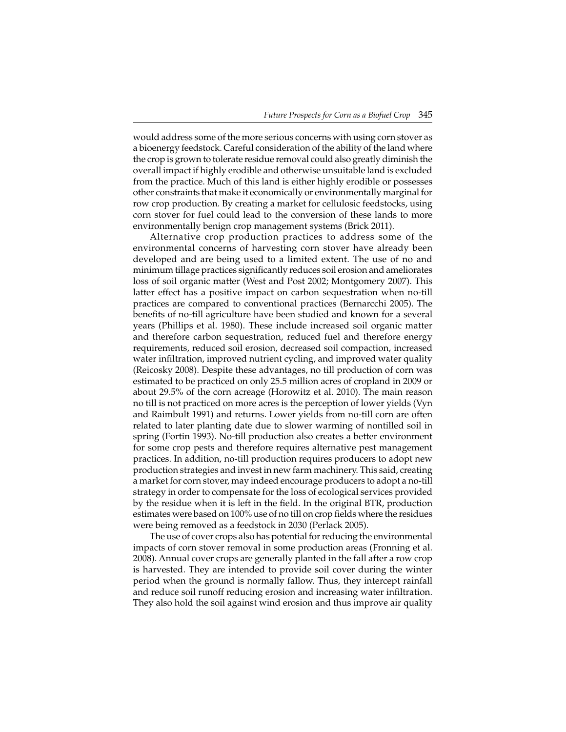would address some of the more serious concerns with using corn stover as a bioenergy feedstock. Careful consideration of the ability of the land where the crop is grown to tolerate residue removal could also greatly diminish the overall impact if highly erodible and otherwise unsuitable land is excluded from the practice. Much of this land is either highly erodible or possesses other constraints that make it economically or environmentally marginal for row crop production. By creating a market for cellulosic feedstocks, using corn stover for fuel could lead to the conversion of these lands to more environmentally benign crop management systems (Brick 2011).

Alternative crop production practices to address some of the environmental concerns of harvesting corn stover have already been developed and are being used to a limited extent. The use of no and minimum tillage practices significantly reduces soil erosion and ameliorates loss of soil organic matter (West and Post 2002; Montgomery 2007). This latter effect has a positive impact on carbon sequestration when no-till practices are compared to conventional practices (Bernarcchi 2005). The benefits of no-till agriculture have been studied and known for a several years (Phillips et al. 1980). These include increased soil organic matter and therefore carbon sequestration, reduced fuel and therefore energy requirements, reduced soil erosion, decreased soil compaction, increased water infiltration, improved nutrient cycling, and improved water quality (Reicosky 2008). Despite these advantages, no till production of corn was estimated to be practiced on only 25.5 million acres of cropland in 2009 or about 29.5% of the corn acreage (Horowitz et al. 2010). The main reason no till is not practiced on more acres is the perception of lower yields (Vyn and Raimbult 1991) and returns. Lower yields from no-till corn are often related to later planting date due to slower warming of nontilled soil in spring (Fortin 1993). No-till production also creates a better environment for some crop pests and therefore requires alternative pest management practices. In addition, no-till production requires producers to adopt new production strategies and invest in new farm machinery. This said, creating a market for corn stover, may indeed encourage producers to adopt a no-till strategy in order to compensate for the loss of ecological services provided by the residue when it is left in the field. In the original BTR, production estimates were based on 100% use of no till on crop fields where the residues were being removed as a feedstock in 2030 (Perlack 2005).

The use of cover crops also has potential for reducing the environmental impacts of corn stover removal in some production areas (Fronning et al. 2008). Annual cover crops are generally planted in the fall after a row crop is harvested. They are intended to provide soil cover during the winter period when the ground is normally fallow. Thus, they intercept rainfall and reduce soil runoff reducing erosion and increasing water infiltration. They also hold the soil against wind erosion and thus improve air quality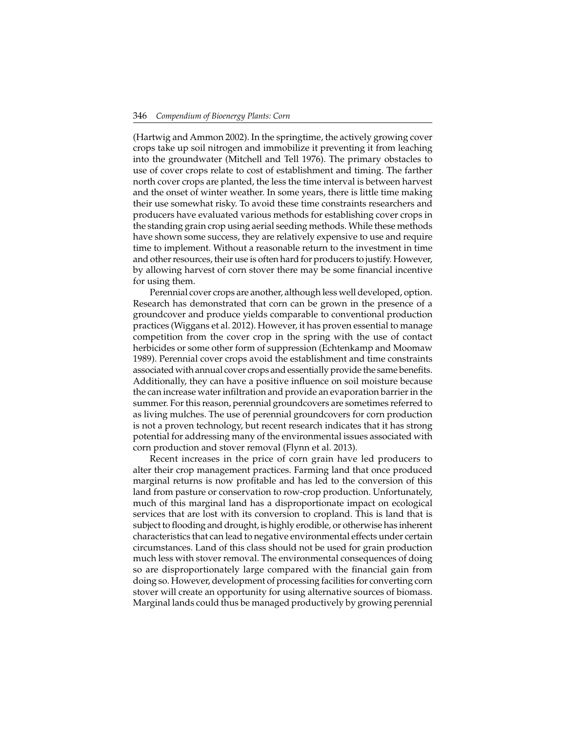(Hartwig and Ammon 2002). In the springtime, the actively growing cover crops take up soil nitrogen and immobilize it preventing it from leaching into the groundwater (Mitchell and Tell 1976). The primary obstacles to use of cover crops relate to cost of establishment and timing. The farther north cover crops are planted, the less the time interval is between harvest and the onset of winter weather. In some years, there is little time making their use somewhat risky. To avoid these time constraints researchers and producers have evaluated various methods for establishing cover crops in the standing grain crop using aerial seeding methods. While these methods have shown some success, they are relatively expensive to use and require time to implement. Without a reasonable return to the investment in time and other resources, their use is often hard for producers to justify. However, by allowing harvest of corn stover there may be some financial incentive for using them.

Perennial cover crops are another, although less well developed, option. Research has demonstrated that corn can be grown in the presence of a groundcover and produce yields comparable to conventional production practices (Wiggans et al. 2012). However, it has proven essential to manage competition from the cover crop in the spring with the use of contact herbicides or some other form of suppression (Echtenkamp and Moomaw 1989). Perennial cover crops avoid the establishment and time constraints associated with annual cover crops and essentially provide the same benefits. Additionally, they can have a positive influence on soil moisture because the can increase water infiltration and provide an evaporation barrier in the summer. For this reason, perennial groundcovers are sometimes referred to as living mulches. The use of perennial groundcovers for corn production is not a proven technology, but recent research indicates that it has strong potential for addressing many of the environmental issues associated with corn production and stover removal (Flynn et al. 2013).

Recent increases in the price of corn grain have led producers to alter their crop management practices. Farming land that once produced marginal returns is now profitable and has led to the conversion of this land from pasture or conservation to row-crop production. Unfortunately, much of this marginal land has a disproportionate impact on ecological services that are lost with its conversion to cropland. This is land that is subject to flooding and drought, is highly erodible, or otherwise has inherent characteristics that can lead to negative environmental effects under certain circumstances. Land of this class should not be used for grain production much less with stover removal. The environmental consequences of doing so are disproportionately large compared with the financial gain from doing so. However, development of processing facilities for converting corn stover will create an opportunity for using alternative sources of biomass. Marginal lands could thus be managed productively by growing perennial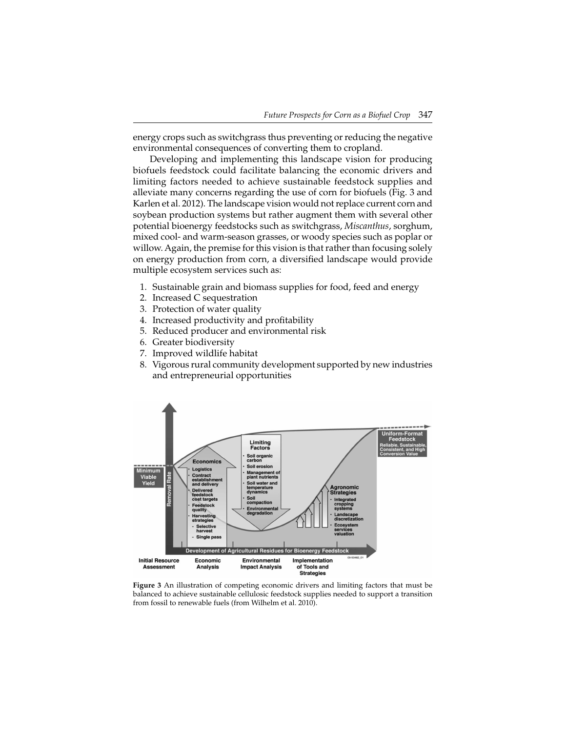energy crops such as switchgrass thus preventing or reducing the negative environmental consequences of converting them to cropland.

Developing and implementing this landscape vision for producing biofuels feedstock could facilitate balancing the economic drivers and limiting factors needed to achieve sustainable feedstock supplies and alleviate many concerns regarding the use of corn for biofuels (Fig. 3 and Karlen et al. 2012). The landscape vision would not replace current corn and soybean production systems but rather augment them with several other potential bioenergy feedstocks such as switchgrass, *Miscanthus*, sorghum, mixed cool- and warm-season grasses, or woody species such as poplar or willow. Again, the premise for this vision is that rather than focusing solely on energy production from corn, a diversified landscape would provide multiple ecosystem services such as:

- 1. Sustainable grain and biomass supplies for food, feed and energy
- 2. Increased C sequestration
- 3. Protection of water quality
- 4. Increased productivity and profitability
- 5. Reduced producer and environmental risk
- 6. Greater biodiversity
- 7. Improved wildlife habitat
- 8. Vigorous rural community development supported by new industries and entrepreneurial opportunities



**Figure 3** An illustration of competing economic drivers and limiting factors that must be balanced to achieve sustainable cellulosic feedstock supplies needed to support a transition from fossil to renewable fuels (from Wilhelm et al. 2010).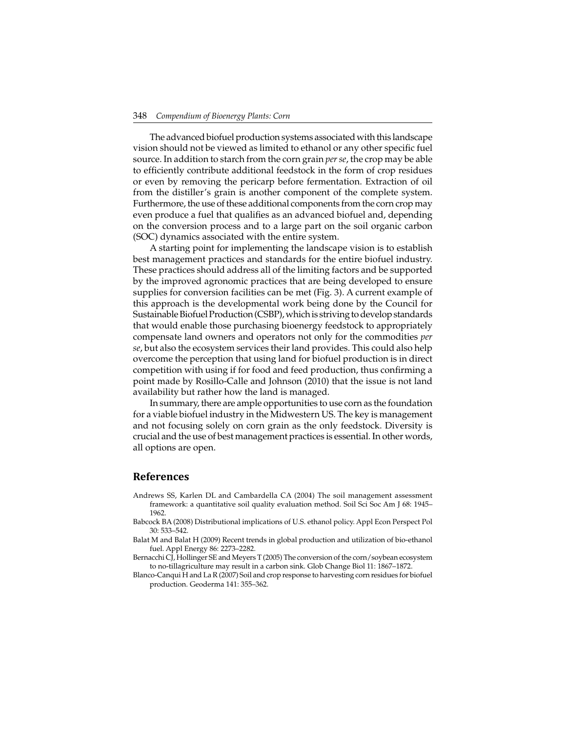The advanced biofuel production systems associated with this landscape vision should not be viewed as limited to ethanol or any other specific fuel source. In addition to starch from the corn grain *per se*, the crop may be able to efficiently contribute additional feedstock in the form of crop residues or even by removing the pericarp before fermentation. Extraction of oil from the distiller's grain is another component of the complete system. Furthermore, the use of these additional components from the corn crop may even produce a fuel that qualifies as an advanced biofuel and, depending on the conversion process and to a large part on the soil organic carbon (SOC) dynamics associated with the entire system.

A starting point for implementing the landscape vision is to establish best management practices and standards for the entire biofuel industry. These practices should address all of the limiting factors and be supported by the improved agronomic practices that are being developed to ensure supplies for conversion facilities can be met (Fig. 3). A current example of this approach is the developmental work being done by the Council for Sustainable Biofuel Production (CSBP), which is striving to develop standards that would enable those purchasing bioenergy feedstock to appropriately compensate land owners and operators not only for the commodities *per se*, but also the ecosystem services their land provides. This could also help overcome the perception that using land for biofuel production is in direct competition with using if for food and feed production, thus confirming a point made by Rosillo-Calle and Johnson (2010) that the issue is not land availability but rather how the land is managed.

In summary, there are ample opportunities to use corn as the foundation for a viable biofuel industry in the Midwestern US. The key is management and not focusing solely on corn grain as the only feedstock. Diversity is crucial and the use of best management practices is essential. In other words, all options are open.

#### **References**

- Andrews SS, Karlen DL and Cambardella CA (2004) The soil management assessment framework: a quantitative soil quality evaluation method. Soil Sci Soc Am J 68: 1945– 1962.
- Babcock BA (2008) Distributional implications of U.S. ethanol policy. Appl Econ Perspect Pol 30: 533–542.
- Balat M and Balat H (2009) Recent trends in global production and utilization of bio-ethanol fuel. Appl Energy 86: 2273–2282.
- Bernacchi CJ, Hollinger SE and Meyers T (2005) The conversion of the corn/soybean ecosystem to no-tillagriculture may result in a carbon sink. Glob Change Biol 11: 1867–1872.
- Blanco-Canqui H and La R (2007) Soil and crop response to harvesting corn residues for biofuel production. Geoderma 141: 355–362.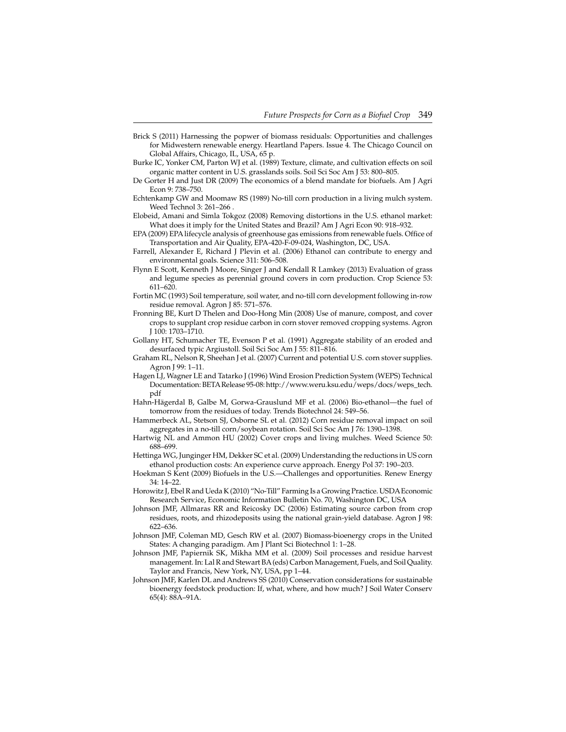- Brick S (2011) Harnessing the popwer of biomass residuals: Opportunities and challenges for Midwestern renewable energy. Heartland Papers. Issue 4. The Chicago Council on Global Affairs, Chicago, IL, USA, 65 p.
- Burke IC, Yonker CM, Parton WJ et al. (1989) Texture, climate, and cultivation effects on soil organic matter content in U.S. grasslands soils. Soil Sci Soc Am J 53: 800–805.
- De Gorter H and Just DR (2009) The economics of a blend mandate for biofuels. Am J Agri Econ 9: 738–750.
- Echtenkamp GW and Moomaw RS (1989) No-till corn production in a living mulch system. Weed Technol 3: 261–266 .
- Elobeid, Amani and Simla Tokgoz (2008) Removing distortions in the U.S. ethanol market: What does it imply for the United States and Brazil? Am J Agri Econ 90: 918–932.
- EPA (2009) EPA lifecycle analysis of greenhouse gas emissions from renewable fuels. Office of Transportation and Air Quality, EPA-420-F-09-024, Washington, DC, USA.
- Farrell, Alexander E, Richard J Plevin et al. (2006) Ethanol can contribute to energy and environmental goals. Science 311: 506–508.
- Flynn E Scott, Kenneth J Moore, Singer J and Kendall R Lamkey (2013) Evaluation of grass and legume species as perennial ground covers in corn production. Crop Science 53: 611–620.
- Fortin MC (1993) Soil temperature, soil water, and no-till corn development following in-row residue removal. Agron J 85: 571–576.
- Fronning BE, Kurt D Thelen and Doo-Hong Min (2008) Use of manure, compost, and cover crops to supplant crop residue carbon in corn stover removed cropping systems. Agron J 100: 1703–1710.
- Gollany HT, Schumacher TE, Evenson P et al. (1991) Aggregate stability of an eroded and desurfaced typic Argiustoll. Soil Sci Soc Am J 55: 811–816.
- Graham RL, Nelson R, Sheehan J et al. (2007) Current and potential U.S. corn stover supplies. Agron J 99: 1–11.
- Hagen LJ, Wagner LE and Tatarko J (1996) Wind Erosion Prediction System (WEPS) Technical Documentation: BETA Release 95-08: http://www.weru.ksu.edu/weps/docs/weps\_tech. pdf
- Hahn-Hägerdal B, Galbe M, Gorwa-Grauslund MF et al. (2006) Bio-ethanol—the fuel of tomorrow from the residues of today. Trends Biotechnol 24: 549–56.
- Hammerbeck AL, Stetson SJ, Osborne SL et al. (2012) Corn residue removal impact on soil aggregates in a no-till corn/soybean rotation. Soil Sci Soc Am J 76: 1390–1398.
- Hartwig NL and Ammon HU (2002) Cover crops and living mulches. Weed Science 50: 688–699.
- Hettinga WG, Junginger HM, Dekker SC et al. (2009) Understanding the reductions in US corn ethanol production costs: An experience curve approach. Energy Pol 37: 190–203.
- Hoekman S Kent (2009) Biofuels in the U.S.—Challenges and opportunities. Renew Energy 34: 14–22.
- Horowitz J, Ebel R and Ueda K (2010) "No-Till" Farming Is a Growing Practice. USDA Economic Research Service, Economic Information Bulletin No. 70, Washington DC, USA
- Johnson JMF, Allmaras RR and Reicosky DC (2006) Estimating source carbon from crop residues, roots, and rhizodeposits using the national grain-yield database. Agron J 98: 622–636.
- Johnson JMF, Coleman MD, Gesch RW et al. (2007) Biomass-bioenergy crops in the United States: A changing paradigm. Am J Plant Sci Biotechnol 1: 1–28.
- Johnson JMF, Papiernik SK, Mikha MM et al. (2009) Soil processes and residue harvest management. In: Lal R and Stewart BA (eds) Carbon Management, Fuels, and Soil Quality. Taylor and Francis, New York, NY, USA, pp 1–44.
- Johnson JMF, Karlen DL and Andrews SS (2010) Conservation considerations for sustainable bioenergy feedstock production: If, what, where, and how much? J Soil Water Conserv 65(4): 88A–91A.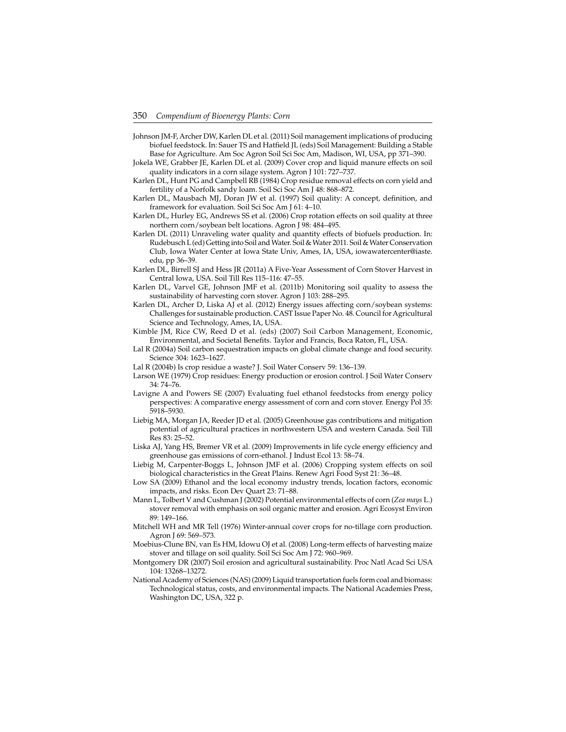- Johnson JM-F, Archer DW, Karlen DL et al. (2011) Soil management implications of producing biofuel feedstock. In: Sauer TS and Hatfield JL (eds) Soil Management: Building a Stable Base for Agriculture. Am Soc Agron Soil Sci Soc Am, Madison, WI, USA, pp 371–390.
- Jokela WE, Grabber JE, Karlen DL et al. (2009) Cover crop and liquid manure effects on soil quality indicators in a corn silage system. Agron J 101: 727–737.
- Karlen DL, Hunt PG and Campbell RB (1984) Crop residue removal effects on corn yield and fertility of a Norfolk sandy loam. Soil Sci Soc Am J 48: 868–872.
- Karlen DL, Mausbach MJ, Doran JW et al. (1997) Soil quality: A concept, definition, and framework for evaluation. Soil Sci Soc Am J 61: 4–10.
- Karlen DL, Hurley EG, Andrews SS et al. (2006) Crop rotation effects on soil quality at three northern corn/soybean belt locations. Agron J 98: 484–495.
- Karlen DL (2011) Unraveling water quality and quantity effects of biofuels production. In: Rudebusch L (ed) Getting into Soil and Water. Soil & Water 2011. Soil & Water Conservation Club, Iowa Water Center at Iowa State Univ, Ames, IA, USA, iowawatercenter@iaste. edu, pp 36–39.
- Karlen DL, Birrell SJ and Hess JR (2011a) A Five-Year Assessment of Corn Stover Harvest in Central Iowa, USA. Soil Till Res 115–116: 47–55.
- Karlen DL, Varvel GE, Johnson JMF et al. (2011b) Monitoring soil quality to assess the sustainability of harvesting corn stover. Agron J 103: 288–295.
- Karlen DL, Archer D, Liska AJ et al. (2012) Energy issues affecting corn/soybean systems: Challenges for sustainable production. CAST Issue Paper No. 48. Council for Agricultural Science and Technology, Ames, IA, USA.
- Kimble JM, Rice CW, Reed D et al. (eds) (2007) Soil Carbon Management, Economic, Environmental, and Societal Benefits. Taylor and Francis, Boca Raton, FL, USA.
- Lal R (2004a) Soil carbon sequestration impacts on global climate change and food security. Science 304: 1623–1627.
- Lal R (2004b) Is crop residue a waste? J. Soil Water Conserv 59: 136–139.
- Larson WE (1979) Crop residues: Energy production or erosion control. J Soil Water Conserv 34: 74–76.
- Lavigne A and Powers SE (2007) Evaluating fuel ethanol feedstocks from energy policy perspectives: A comparative energy assessment of corn and corn stover. Energy Pol 35: 5918–5930.
- Liebig MA, Morgan JA, Reeder JD et al. (2005) Greenhouse gas contributions and mitigation potential of agricultural practices in northwestern USA and western Canada. Soil Till Res 83: 25–52.
- Liska AJ, Yang HS, Bremer VR et al. (2009) Improvements in life cycle energy efficiency and greenhouse gas emissions of corn-ethanol. J Indust Ecol 13: 58–74.
- Liebig M, Carpenter-Boggs L, Johnson JMF et al. (2006) Cropping system effects on soil biological characteristics in the Great Plains. Renew Agri Food Syst 21: 36–48.
- Low SA (2009) Ethanol and the local economy industry trends, location factors, economic impacts, and risks. Econ Dev Quart 23: 71–88.
- Mann L, Tolbert V and Cushman J (2002) Potential environmental effects of corn (*Zea mays* L.) stover removal with emphasis on soil organic matter and erosion. Agri Ecosyst Environ 89: 149–166.
- Mitchell WH and MR Tell (1976) Winter-annual cover crops for no-tillage corn production. Agron J 69: 569–573.
- Moebius-Clune BN, van Es HM, Idowu OJ et al. (2008) Long-term effects of harvesting maize stover and tillage on soil quality. Soil Sci Soc Am J 72: 960–969.
- Montgomery DR (2007) Soil erosion and agricultural sustainability. Proc Natl Acad Sci USA 104: 13268–13272.
- National Academy of Sciences (NAS) (2009) Liquid transportation fuels form coal and biomass: Technological status, costs, and environmental impacts. The National Academies Press, Washington DC, USA, 322 p.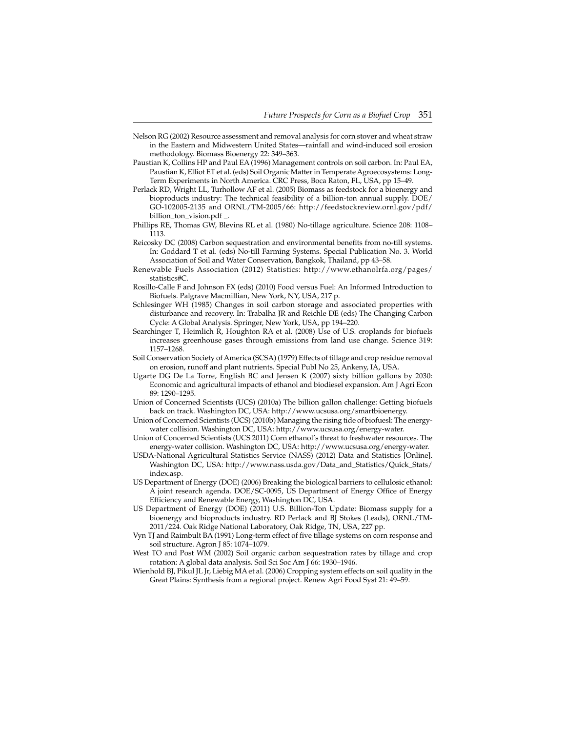- Nelson RG (2002) Resource assessment and removal analysis for corn stover and wheat straw in the Eastern and Midwestern United States—rainfall and wind-induced soil erosion methodology. Biomass Bioenergy 22: 349–363.
- Paustian K, Collins HP and Paul EA (1996) Management controls on soil carbon. In: Paul EA, Paustian K, Elliot ET et al. (eds) Soil Organic Matter in Temperate Agroecosystems: Long-Term Experiments in North America. CRC Press, Boca Raton, FL, USA, pp 15–49.
- Perlack RD, Wright LL, Turhollow AF et al. (2005) Biomass as feedstock for a bioenergy and bioproducts industry: The technical feasibility of a billion-ton annual supply. DOE/ GO-102005-2135 and ORNL/TM-2005/66: http://feedstockreview.ornl.gov/pdf/ billion\_ton\_vision.pdf \_.
- Phillips RE, Thomas GW, Blevins RL et al. (1980) No-tillage agriculture. Science 208: 1108– 1113.
- Reicosky DC (2008) Carbon sequestration and environmental benefits from no-till systems. In: Goddard T et al. (eds) No-till Farming Systems. Special Publication No. 3. World Association of Soil and Water Conservation, Bangkok, Thailand, pp 43–58.
- Renewable Fuels Association (2012) Statistics: http://www.ethanolrfa.org/pages/ statistics#C.
- Rosillo-Calle F and Johnson FX (eds) (2010) Food versus Fuel: An Informed Introduction to Biofuels. Palgrave Macmillian, New York, NY, USA, 217 p.
- Schlesinger WH (1985) Changes in soil carbon storage and associated properties with disturbance and recovery. In: Trabalha JR and Reichle DE (eds) The Changing Carbon Cycle: A Global Analysis. Springer, New York, USA, pp 194–220.
- Searchinger T, Heimlich R, Houghton RA et al. (2008) Use of U.S. croplands for biofuels increases greenhouse gases through emissions from land use change. Science 319: 1157–1268.
- Soil Conservation Society of America (SCSA) (1979) Effects of tillage and crop residue removal on erosion, runoff and plant nutrients. Special Publ No 25, Ankeny, IA, USA.
- Ugarte DG De La Torre, English BC and Jensen K (2007) sixty billion gallons by 2030: Economic and agricultural impacts of ethanol and biodiesel expansion. Am J Agri Econ 89: 1290–1295.
- Union of Concerned Scientists (UCS) (2010a) The billion gallon challenge: Getting biofuels back on track. Washington DC, USA: http://www.ucsusa.org/smartbioenergy.
- Union of Concerned Scientists (UCS) (2010b) Managing the rising tide of biofuesl: The energywater collision. Washington DC, USA: http://www.ucsusa.org/energy-water.
- Union of Concerned Scientists (UCS 2011) Corn ethanol's threat to freshwater resources. The energy-water collision. Washington DC, USA: http://www.ucsusa.org/energy-water.
- USDA-National Agricultural Statistics Service (NASS) (2012) Data and Statistics [Online]. Washington DC, USA: http://www.nass.usda.gov/Data\_and\_Statistics/Quick\_Stats/ index.asp.
- US Department of Energy (DOE) (2006) Breaking the biological barriers to cellulosic ethanol: A joint research agenda. DOE/SC-0095, US Department of Energy Office of Energy Efficiency and Renewable Energy, Washington DC, USA.
- US Department of Energy (DOE) (2011) U.S. Billion-Ton Update: Biomass supply for a bioenergy and bioproducts industry. RD Perlack and BJ Stokes (Leads), ORNL/TM-2011/224. Oak Ridge National Laboratory, Oak Ridge, TN, USA, 227 pp.
- Vyn TJ and Raimbult BA (1991) Long-term effect of five tillage systems on corn response and soil structure. Agron J 85: 1074-1079.
- West TO and Post WM (2002) Soil organic carbon sequestration rates by tillage and crop rotation: A global data analysis. Soil Sci Soc Am J 66: 1930–1946.
- Wienhold BJ, Pikul JL Jr, Liebig MA et al. (2006) Cropping system effects on soil quality in the Great Plains: Synthesis from a regional project. Renew Agri Food Syst 21: 49–59.